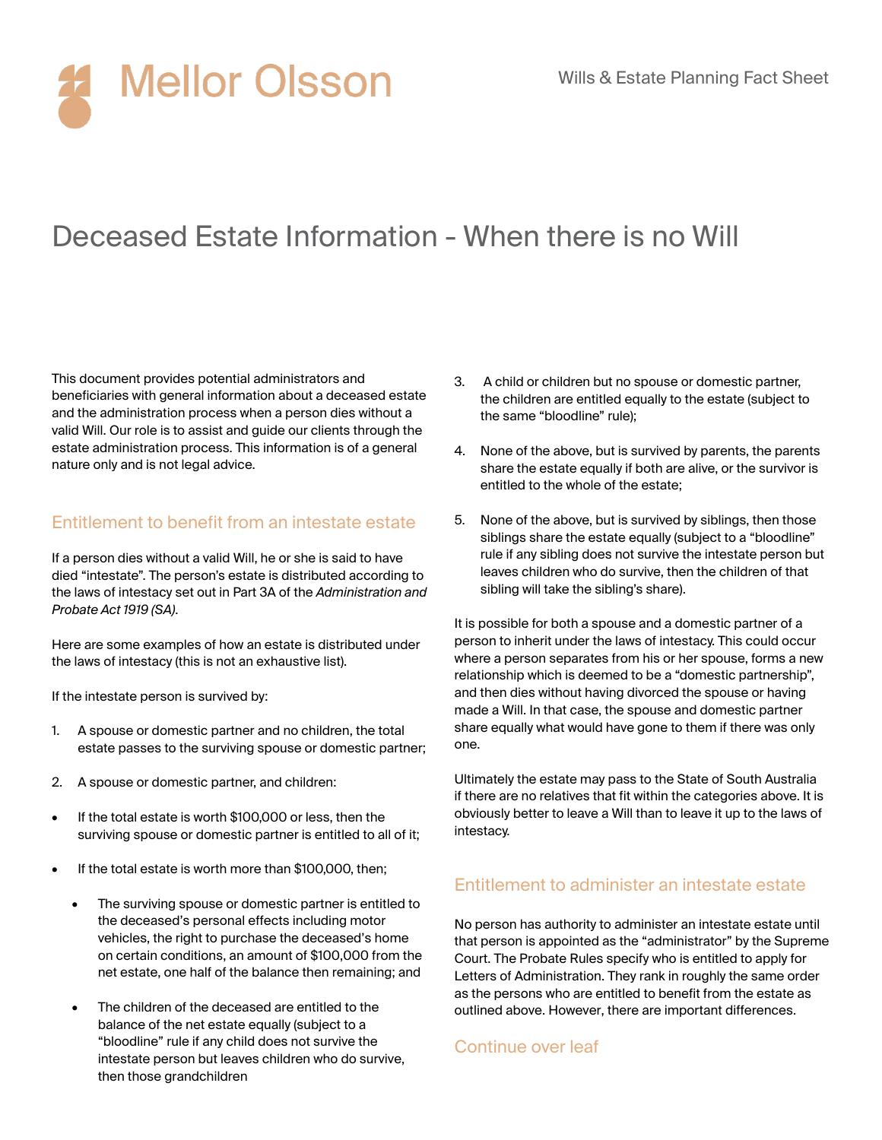# Deceased Estate Information - When there is no Will

This document provides potential administrators and beneficiaries with general information about a deceased estate and the administration process when a person dies without a valid Will. Our role is to assist and guide our clients through the estate administration process. This information is of a general nature only and is not legal advice.

### Entitlement to benefit from an intestate estate

If a person dies without a valid Will, he or she is said to have died "intestate". The person's estate is distributed according to the laws of intestacy set out in Part 3A of the *Administration and Probate Act 1919 (SA)*.

Here are some examples of how an estate is distributed under the laws of intestacy (this is not an exhaustive list).

If the intestate person is survived by:

- 1. A spouse or domestic partner and no children, the total estate passes to the surviving spouse or domestic partner;
- 2. A spouse or domestic partner, and children:
- If the total estate is worth \$100,000 or less, then the surviving spouse or domestic partner is entitled to all of it;
- If the total estate is worth more than \$100,000, then;
	- The surviving spouse or domestic partner is entitled to the deceased's personal effects including motor vehicles, the right to purchase the deceased's home on certain conditions, an amount of \$100,000 from the net estate, one half of the balance then remaining; and
	- The children of the deceased are entitled to the balance of the net estate equally (subject to a "bloodline" rule if any child does not survive the intestate person but leaves children who do survive, then those grandchildren
- 3. A child or children but no spouse or domestic partner, the children are entitled equally to the estate (subject to the same "bloodline" rule);
- 4. None of the above, but is survived by parents, the parents share the estate equally if both are alive, or the survivor is entitled to the whole of the estate;
- 5. None of the above, but is survived by siblings, then those siblings share the estate equally (subject to a "bloodline" rule if any sibling does not survive the intestate person but leaves children who do survive, then the children of that sibling will take the sibling's share).

It is possible for both a spouse and a domestic partner of a person to inherit under the laws of intestacy. This could occur where a person separates from his or her spouse, forms a new relationship which is deemed to be a "domestic partnership", and then dies without having divorced the spouse or having made a Will. In that case, the spouse and domestic partner share equally what would have gone to them if there was only one.

Ultimately the estate may pass to the State of South Australia if there are no relatives that fit within the categories above. It is obviously better to leave a Will than to leave it up to the laws of intestacy.

#### Entitlement to administer an intestate estate

No person has authority to administer an intestate estate until that person is appointed as the "administrator" by the Supreme Court. The Probate Rules specify who is entitled to apply for Letters of Administration. They rank in roughly the same order as the persons who are entitled to benefit from the estate as outlined above. However, there are important differences.

#### Continue over leaf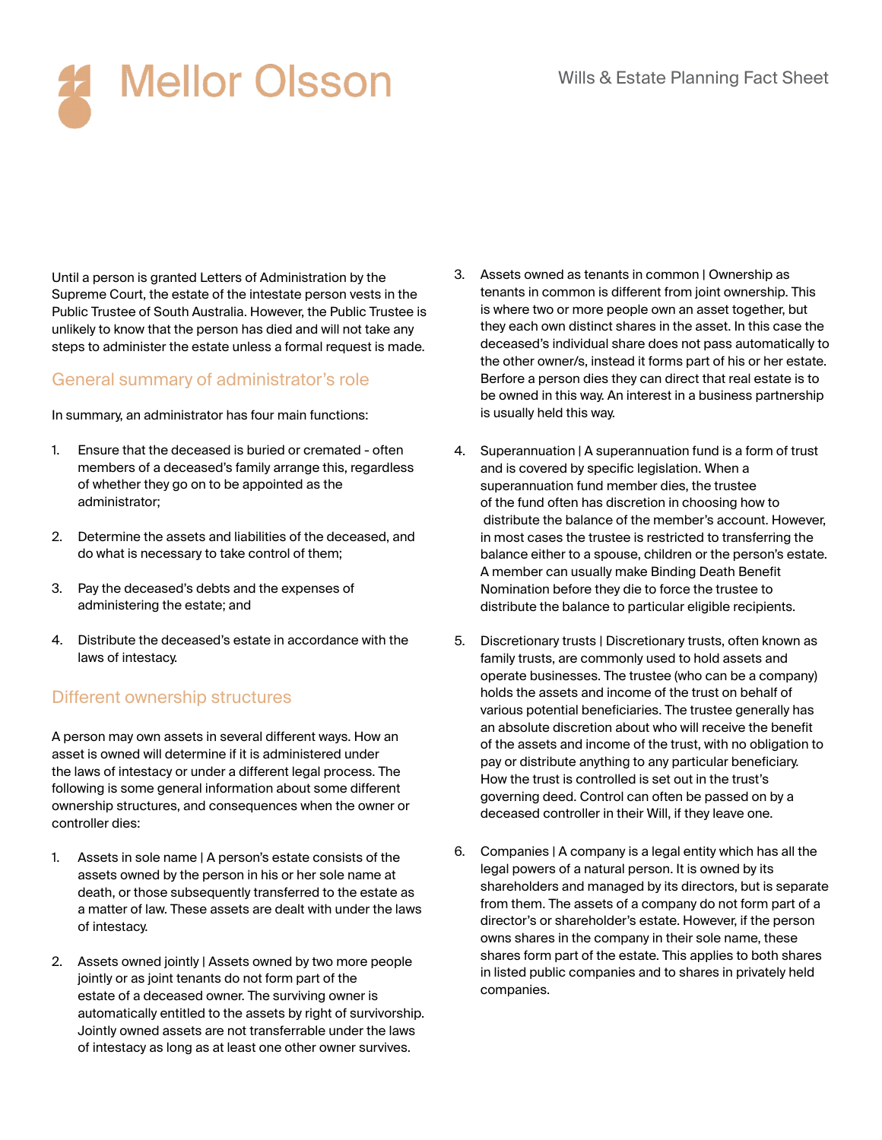Until a person is granted Letters of Administration by the Supreme Court, the estate of the intestate person vests in the Public Trustee of South Australia. However, the Public Trustee is unlikely to know that the person has died and will not take any steps to administer the estate unless a formal request is made.

### General summary of administrator's role

In summary, an administrator has four main functions:

- 1. Ensure that the deceased is buried or cremated often members of a deceased's family arrange this, regardless of whether they go on to be appointed as the administrator;
- 2. Determine the assets and liabilities of the deceased, and do what is necessary to take control of them;
- 3. Pay the deceased's debts and the expenses of administering the estate; and
- 4. Distribute the deceased's estate in accordance with the laws of intestacy.

### Different ownership structures

A person may own assets in several different ways. How an asset is owned will determine if it is administered under the laws of intestacy or under a different legal process. The following is some general information about some different ownership structures, and consequences when the owner or controller dies:

- 1. Assets in sole name | A person's estate consists of the assets owned by the person in his or her sole name at death, or those subsequently transferred to the estate as a matter of law. These assets are dealt with under the laws of intestacy.
- 2. Assets owned jointly | Assets owned by two more people jointly or as joint tenants do not form part of the estate of a deceased owner. The surviving owner is automatically entitled to the assets by right of survivorship. Jointly owned assets are not transferrable under the laws of intestacy as long as at least one other owner survives.
- 3. Assets owned as tenants in common | Ownership as tenants in common is different from joint ownership. This is where two or more people own an asset together, but they each own distinct shares in the asset. In this case the deceased's individual share does not pass automatically to the other owner/s, instead it forms part of his or her estate. Berfore a person dies they can direct that real estate is to be owned in this way. An interest in a business partnership is usually held this way.
- 4. Superannuation | A superannuation fund is a form of trust and is covered by specific legislation. When a superannuation fund member dies, the trustee of the fund often has discretion in choosing how to distribute the balance of the member's account. However, in most cases the trustee is restricted to transferring the balance either to a spouse, children or the person's estate. A member can usually make Binding Death Benefit Nomination before they die to force the trustee to distribute the balance to particular eligible recipients.
- 5. Discretionary trusts | Discretionary trusts, often known as family trusts, are commonly used to hold assets and operate businesses. The trustee (who can be a company) holds the assets and income of the trust on behalf of various potential beneficiaries. The trustee generally has an absolute discretion about who will receive the benefit of the assets and income of the trust, with no obligation to pay or distribute anything to any particular beneficiary. How the trust is controlled is set out in the trust's governing deed. Control can often be passed on by a deceased controller in their Will, if they leave one.
- 6. Companies | A company is a legal entity which has all the legal powers of a natural person. It is owned by its shareholders and managed by its directors, but is separate from them. The assets of a company do not form part of a director's or shareholder's estate. However, if the person owns shares in the company in their sole name, these shares form part of the estate. This applies to both shares in listed public companies and to shares in privately held companies.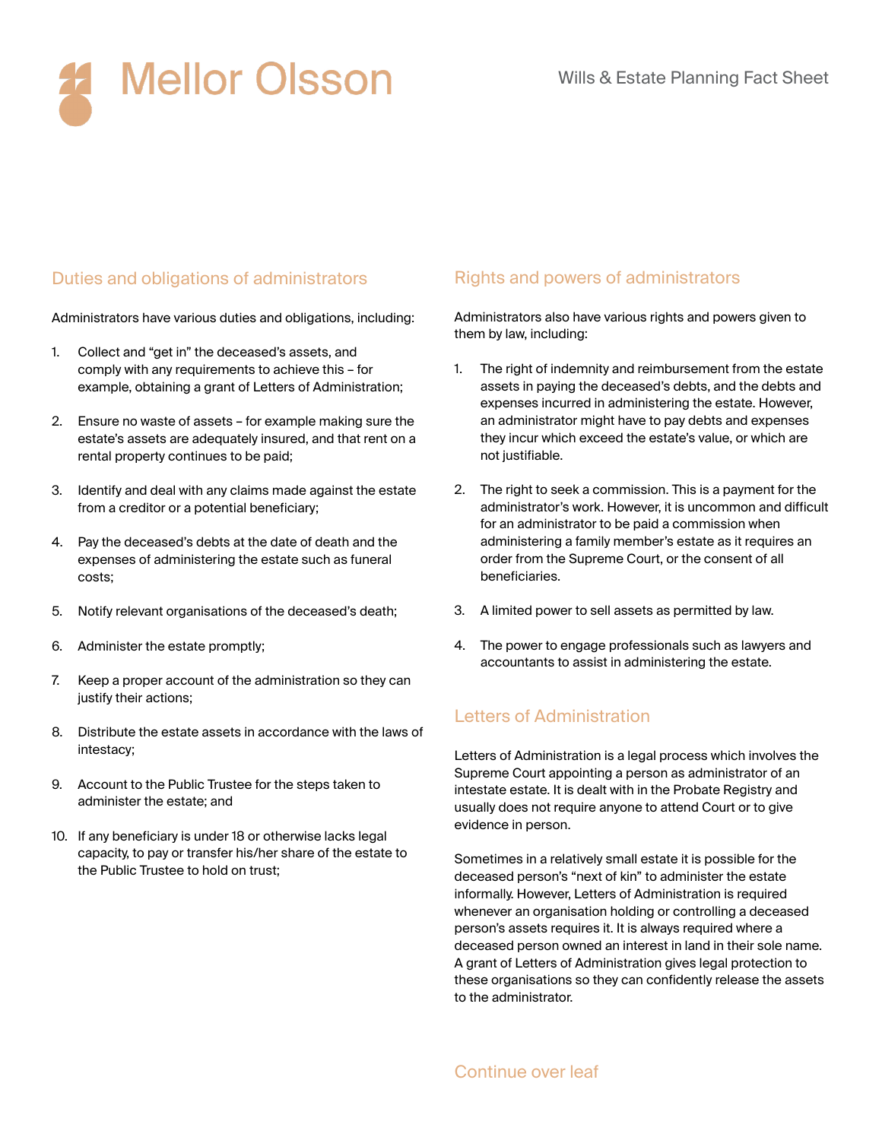

# Duties and obligations of administrators

Administrators have various duties and obligations, including:

- 1. Collect and "get in" the deceased's assets, and comply with any requirements to achieve this – for example, obtaining a grant of Letters of Administration;
- 2. Ensure no waste of assets for example making sure the estate's assets are adequately insured, and that rent on a rental property continues to be paid;
- 3. Identify and deal with any claims made against the estate from a creditor or a potential beneficiary;
- 4. Pay the deceased's debts at the date of death and the expenses of administering the estate such as funeral costs;
- 5. Notify relevant organisations of the deceased's death;
- 6. Administer the estate promptly;
- 7. Keep a proper account of the administration so they can justify their actions;
- 8. Distribute the estate assets in accordance with the laws of intestacy;
- 9. Account to the Public Trustee for the steps taken to administer the estate; and
- 10. If any beneficiary is under 18 or otherwise lacks legal capacity, to pay or transfer his/her share of the estate to the Public Trustee to hold on trust;

#### Rights and powers of administrators

Administrators also have various rights and powers given to them by law, including:

- 1. The right of indemnity and reimbursement from the estate assets in paying the deceased's debts, and the debts and expenses incurred in administering the estate. However, an administrator might have to pay debts and expenses they incur which exceed the estate's value, or which are not justifiable.
- 2. The right to seek a commission. This is a payment for the administrator's work. However, it is uncommon and difficult for an administrator to be paid a commission when administering a family member's estate as it requires an order from the Supreme Court, or the consent of all beneficiaries.
- 3. A limited power to sell assets as permitted by law.
- 4. The power to engage professionals such as lawyers and accountants to assist in administering the estate.

#### Letters of Administration

Letters of Administration is a legal process which involves the Supreme Court appointing a person as administrator of an intestate estate. It is dealt with in the Probate Registry and usually does not require anyone to attend Court or to give evidence in person.

Sometimes in a relatively small estate it is possible for the deceased person's "next of kin" to administer the estate informally. However, Letters of Administration is required whenever an organisation holding or controlling a deceased person's assets requires it. It is always required where a deceased person owned an interest in land in their sole name. A grant of Letters of Administration gives legal protection to these organisations so they can confidently release the assets to the administrator.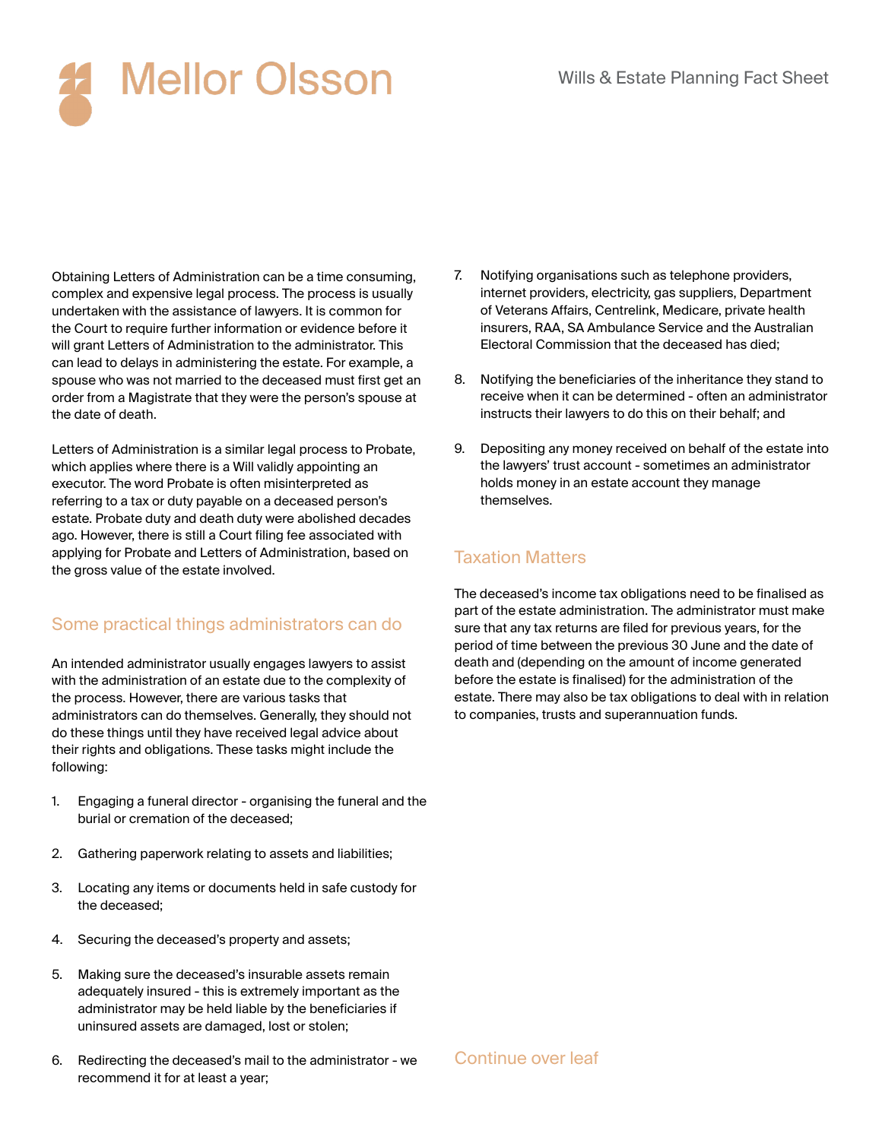**Mellor Olsson** 

Obtaining Letters of Administration can be a time consuming, complex and expensive legal process. The process is usually undertaken with the assistance of lawyers. It is common for the Court to require further information or evidence before it will grant Letters of Administration to the administrator. This can lead to delays in administering the estate. For example, a spouse who was not married to the deceased must first get an order from a Magistrate that they were the person's spouse at the date of death.

Letters of Administration is a similar legal process to Probate, which applies where there is a Will validly appointing an executor. The word Probate is often misinterpreted as referring to a tax or duty payable on a deceased person's estate. Probate duty and death duty were abolished decades ago. However, there is still a Court filing fee associated with applying for Probate and Letters of Administration, based on the gross value of the estate involved.

### Some practical things administrators can do

An intended administrator usually engages lawyers to assist with the administration of an estate due to the complexity of the process. However, there are various tasks that administrators can do themselves. Generally, they should not do these things until they have received legal advice about their rights and obligations. These tasks might include the following:

- 1. Engaging a funeral director organising the funeral and the burial or cremation of the deceased;
- 2. Gathering paperwork relating to assets and liabilities;
- 3. Locating any items or documents held in safe custody for the deceased;
- 4. Securing the deceased's property and assets;
- 5. Making sure the deceased's insurable assets remain adequately insured - this is extremely important as the administrator may be held liable by the beneficiaries if uninsured assets are damaged, lost or stolen;
- 6. Redirecting the deceased's mail to the administrator we recommend it for at least a year;
- 7. Notifying organisations such as telephone providers, internet providers, electricity, gas suppliers, Department of Veterans Affairs, Centrelink, Medicare, private health insurers, RAA, SA Ambulance Service and the Australian Electoral Commission that the deceased has died;
- 8. Notifying the beneficiaries of the inheritance they stand to receive when it can be determined - often an administrator instructs their lawyers to do this on their behalf; and
- 9. Depositing any money received on behalf of the estate into the lawyers' trust account - sometimes an administrator holds money in an estate account they manage themselves.

## Taxation Matters

The deceased's income tax obligations need to be finalised as part of the estate administration. The administrator must make sure that any tax returns are filed for previous years, for the period of time between the previous 30 June and the date of death and (depending on the amount of income generated before the estate is finalised) for the administration of the estate. There may also be tax obligations to deal with in relation to companies, trusts and superannuation funds.